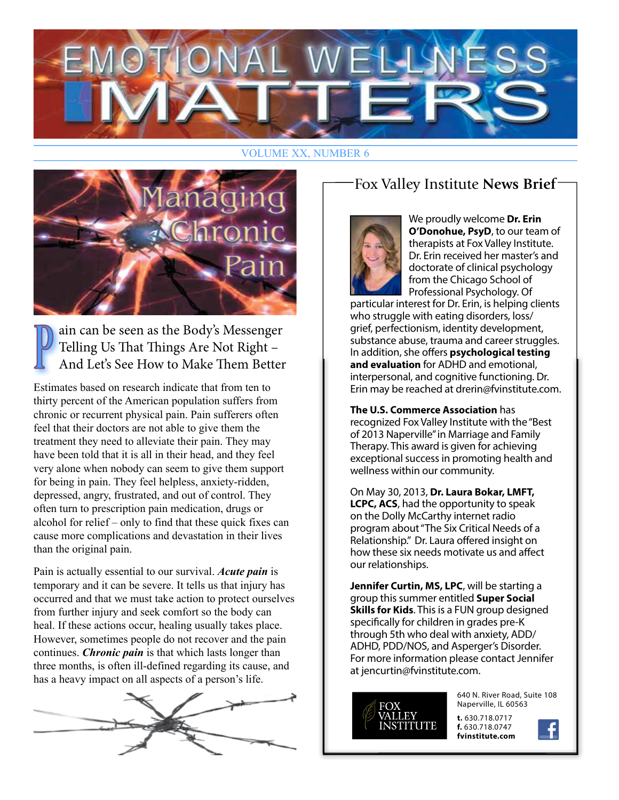

#### **VOLUME XX, NUMBER 6**



ain can be seen as the Body's Messenger Telling Us That Things Are Not Right -And Let's See How to Make Them Better

Estimates based on research indicate that from ten to thirty percent of the American population suffers from chronic or recurrent physical pain. Pain sufferers often feel that their doctors are not able to give them the treatment they need to alleviate their pain. They may have been told that it is all in their head, and they feel very alone when nobody can seem to give them support for being in pain. They feel helpless, anxiety-ridden, depressed, angry, frustrated, and out of control. They often turn to prescription pain medication, drugs or alcohol for relief – only to find that these quick fixes can cause more complications and devastation in their lives than the original pain.

Pain is actually essential to our survival. Acute pain is temporary and it can be severe. It tells us that injury has occurred and that we must take action to protect ourselves from further injury and seek comfort so the body can heal. If these actions occur, healing usually takes place. However, sometimes people do not recover and the pain continues. *Chronic pain* is that which lasts longer than three months, is often ill-defined regarding its cause, and has a heavy impact on all aspects of a person's life.



# Fox Valley Institute News Brief-



We proudly welcome Dr. Erin O'Donohue, PsyD, to our team of therapists at Fox Valley Institute. Dr. Erin received her master's and doctorate of clinical psychology from the Chicago School of Professional Psychology. Of

particular interest for Dr. Erin, is helping clients who struggle with eating disorders, loss/ grief, perfectionism, identity development, substance abuse, trauma and career struggles. In addition, she offers psychological testing and evaluation for ADHD and emotional. interpersonal, and cognitive functioning. Dr. Erin may be reached at drerin@fvinstitute.com.

The U.S. Commerce Association has recognized Fox Valley Institute with the "Best of 2013 Naperville" in Marriage and Family Therapy. This award is given for achieving exceptional success in promoting health and wellness within our community.

On May 30, 2013, Dr. Laura Bokar, LMFT, **LCPC, ACS, had the opportunity to speak** on the Dolly McCarthy internet radio program about "The Six Critical Needs of a Relationship." Dr. Laura offered insight on how these six needs motivate us and affect our relationships.

Jennifer Curtin, MS, LPC, will be starting a group this summer entitled Super Social **Skills for Kids.** This is a FUN group designed specifically for children in grades pre-K through 5th who deal with anxiety, ADD/ ADHD, PDD/NOS, and Asperger's Disorder. For more information please contact Jennifer at jencurtin@fvinstitute.com.



640 N. River Road, Suite 108 Naperville, IL 60563

t. 630.718.0717 f. 630.718.0747 fvinstitute.com

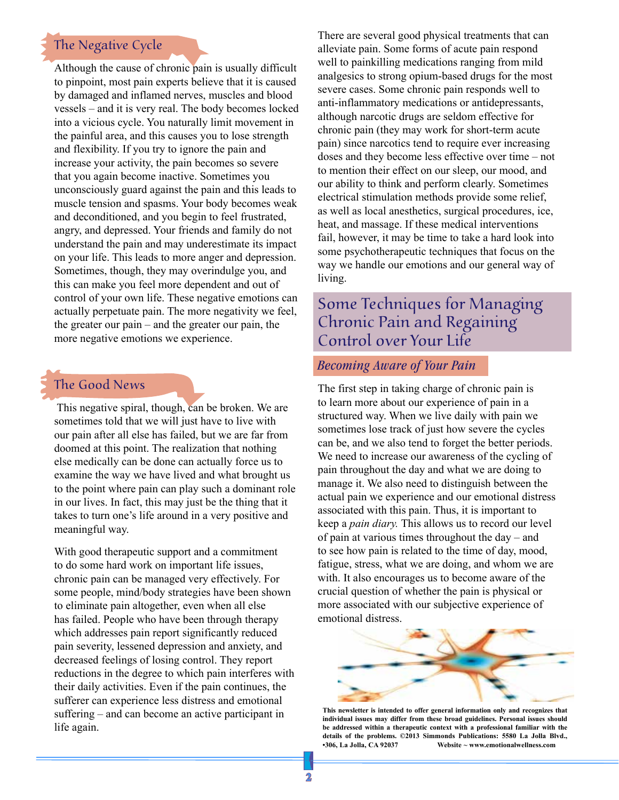# The Negative Cycle

Although the cause of chronic pain is usually difficult to pinpoint, most pain experts believe that it is caused by damaged and inflamed nerves, muscles and blood vessels – and it is very real. The body becomes locked into a vicious cycle. You naturally limit movement in the painful area, and this causes you to lose strength and flexibility. If you try to ignore the pain and increase your activity, the pain becomes so severe that you again become inactive. Sometimes you unconsciously guard against the pain and this leads to muscle tension and spasms. Your body becomes weak and deconditioned, and you begin to feel frustrated, angry, and depressed. Your friends and family do not understand the pain and may underestimate its impact on your life. This leads to more anger and depression. Sometimes, though, they may overindulge you, and this can make you feel more dependent and out of control of your own life. These negative emotions can actually perpetuate pain. The more negativity we feel, the greater our pain – and the greater our pain, the more negative emotions we experience.

### The Good News

This negative spiral, though, can be broken. We are sometimes told that we will just have to live with our pain after all else has failed, but we are far from doomed at this point. The realization that nothing else medically can be done can actually force us to examine the way we have lived and what brought us to the point where pain can play such a dominant role in our lives. In fact, this may just be the thing that it takes to turn one's life around in a very positive and meaningful way.

With good therapeutic support and a commitment to do some hard work on important life issues, chronic pain can be managed very effectively. For some people, mind/body strategies have been shown to eliminate pain altogether, even when all else has failed. People who have been through therapy which addresses pain report significantly reduced pain severity, lessened depression and anxiety, and decreased feelings of losing control. They report reductions in the degree to which pain interferes with their daily activities. Even if the pain continues, the sufferer can experience less distress and emotional suffering – and can become an active participant in life again.

There are several good physical treatments that can alleviate pain. Some forms of acute pain respond well to painkilling medications ranging from mild analgesics to strong opium-based drugs for the most severe cases. Some chronic pain responds well to anti-inflammatory medications or antidepressants, although narcotic drugs are seldom effective for chronic pain (they may work for short-term acute pain) since narcotics tend to require ever increasing doses and they become less effective over time – not to mention their effect on our sleep, our mood, and our ability to think and perform clearly. Sometimes electrical stimulation methods provide some relief, as well as local anesthetics, surgical procedures, ice, heat, and massage. If these medical interventions fail, however, it may be time to take a hard look into some psychotherapeutic techniques that focus on the way we handle our emotions and our general way of living.

# Some Techniques for Managing Chronic Pain and Regaining Control over Your Life

#### *Becoming Aware of Your Pain*

The first step in taking charge of chronic pain is to learn more about our experience of pain in a structured way. When we live daily with pain we sometimes lose track of just how severe the cycles can be, and we also tend to forget the better periods. We need to increase our awareness of the cycling of pain throughout the day and what we are doing to manage it. We also need to distinguish between the actual pain we experience and our emotional distress associated with this pain. Thus, it is important to keep a *pain diary.* This allows us to record our level of pain at various times throughout the day – and to see how pain is related to the time of day, mood, fatigue, stress, what we are doing, and whom we are with. It also encourages us to become aware of the crucial question of whether the pain is physical or more associated with our subjective experience of emotional distress.



**This newsletter is intended to offer general information only and recognizes that individual issues may differ from these broad guidelines. Personal issues should be addressed within a therapeutic context with a professional familiar with the details of the problems. ©2013 Simmonds Publications: 5580 La Jolla Blvd., •306, La Jolla, CA 92037 Website ~ www.emotionalwellness.com**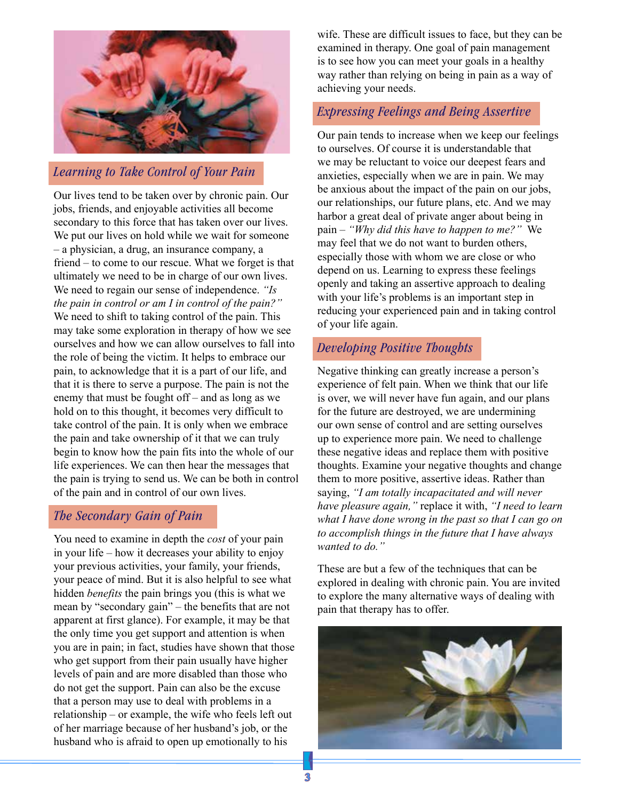

#### *Learning to Take Control of Your Pain*

Our lives tend to be taken over by chronic pain. Our jobs, friends, and enjoyable activities all become secondary to this force that has taken over our lives. We put our lives on hold while we wait for someone – a physician, a drug, an insurance company, a friend – to come to our rescue. What we forget is that ultimately we need to be in charge of our own lives. We need to regain our sense of independence. *"Is the pain in control or am I in control of the pain?"* We need to shift to taking control of the pain. This may take some exploration in therapy of how we see ourselves and how we can allow ourselves to fall into the role of being the victim. It helps to embrace our pain, to acknowledge that it is a part of our life, and that it is there to serve a purpose. The pain is not the enemy that must be fought off – and as long as we hold on to this thought, it becomes very difficult to take control of the pain. It is only when we embrace the pain and take ownership of it that we can truly begin to know how the pain fits into the whole of our life experiences. We can then hear the messages that the pain is trying to send us. We can be both in control of the pain and in control of our own lives.

#### *The Secondary Gain of Pain*

You need to examine in depth the *cost* of your pain in your life – how it decreases your ability to enjoy your previous activities, your family, your friends, your peace of mind. But it is also helpful to see what hidden *benefits* the pain brings you (this is what we mean by "secondary gain" – the benefits that are not apparent at first glance). For example, it may be that the only time you get support and attention is when you are in pain; in fact, studies have shown that those who get support from their pain usually have higher levels of pain and are more disabled than those who do not get the support. Pain can also be the excuse that a person may use to deal with problems in a relationship – or example, the wife who feels left out of her marriage because of her husband's job, or the husband who is afraid to open up emotionally to his

wife. These are difficult issues to face, but they can be examined in therapy. One goal of pain management is to see how you can meet your goals in a healthy way rather than relying on being in pain as a way of achieving your needs.

#### *Expressing Feelings and Being Assertive*

Our pain tends to increase when we keep our feelings to ourselves. Of course it is understandable that we may be reluctant to voice our deepest fears and anxieties, especially when we are in pain. We may be anxious about the impact of the pain on our jobs, our relationships, our future plans, etc. And we may harbor a great deal of private anger about being in pain – *"Why did this have to happen to me?"* We may feel that we do not want to burden others, especially those with whom we are close or who depend on us. Learning to express these feelings openly and taking an assertive approach to dealing with your life's problems is an important step in reducing your experienced pain and in taking control of your life again.

#### *Developing Positive Thoughts*

Negative thinking can greatly increase a person's experience of felt pain. When we think that our life is over, we will never have fun again, and our plans for the future are destroyed, we are undermining our own sense of control and are setting ourselves up to experience more pain. We need to challenge these negative ideas and replace them with positive thoughts. Examine your negative thoughts and change them to more positive, assertive ideas. Rather than saying, *"I am totally incapacitated and will never have pleasure again,"* replace it with, *"I need to learn what I have done wrong in the past so that I can go on to accomplish things in the future that I have always wanted to do."*

These are but a few of the techniques that can be explored in dealing with chronic pain. You are invited to explore the many alternative ways of dealing with pain that therapy has to offer.